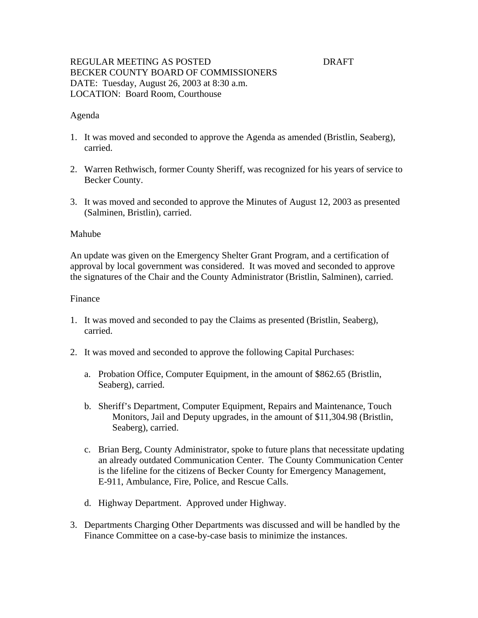# REGULAR MEETING AS POSTED **EXAMPLE 1999 DRAFT** BECKER COUNTY BOARD OF COMMISSIONERS DATE: Tuesday, August 26, 2003 at 8:30 a.m. LOCATION: Board Room, Courthouse

### Agenda

- 1. It was moved and seconded to approve the Agenda as amended (Bristlin, Seaberg), carried.
- 2. Warren Rethwisch, former County Sheriff, was recognized for his years of service to Becker County.
- 3. It was moved and seconded to approve the Minutes of August 12, 2003 as presented (Salminen, Bristlin), carried.

#### Mahube

An update was given on the Emergency Shelter Grant Program, and a certification of approval by local government was considered. It was moved and seconded to approve the signatures of the Chair and the County Administrator (Bristlin, Salminen), carried.

#### Finance

- 1. It was moved and seconded to pay the Claims as presented (Bristlin, Seaberg), carried.
- 2. It was moved and seconded to approve the following Capital Purchases:
	- a. Probation Office, Computer Equipment, in the amount of \$862.65 (Bristlin, Seaberg), carried.
	- b. Sheriff's Department, Computer Equipment, Repairs and Maintenance, Touch Monitors, Jail and Deputy upgrades, in the amount of \$11,304.98 (Bristlin, Seaberg), carried.
	- c. Brian Berg, County Administrator, spoke to future plans that necessitate updating an already outdated Communication Center. The County Communication Center is the lifeline for the citizens of Becker County for Emergency Management, E-911, Ambulance, Fire, Police, and Rescue Calls.
	- d. Highway Department. Approved under Highway.
- 3. Departments Charging Other Departments was discussed and will be handled by the Finance Committee on a case-by-case basis to minimize the instances.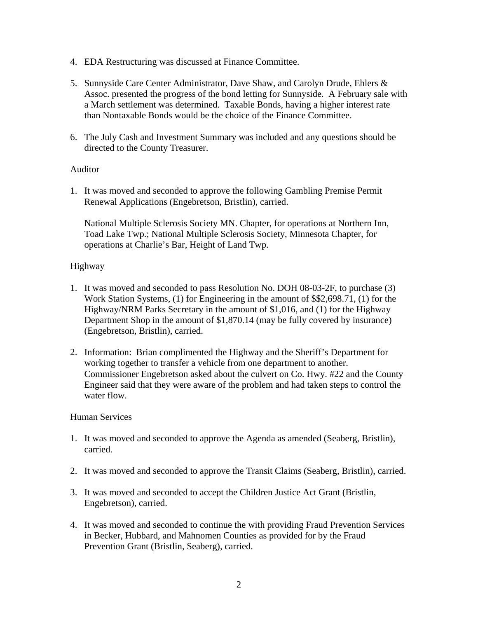- 4. EDA Restructuring was discussed at Finance Committee.
- 5. Sunnyside Care Center Administrator, Dave Shaw, and Carolyn Drude, Ehlers & Assoc. presented the progress of the bond letting for Sunnyside. A February sale with a March settlement was determined. Taxable Bonds, having a higher interest rate than Nontaxable Bonds would be the choice of the Finance Committee.
- 6. The July Cash and Investment Summary was included and any questions should be directed to the County Treasurer.

# Auditor

1. It was moved and seconded to approve the following Gambling Premise Permit Renewal Applications (Engebretson, Bristlin), carried.

National Multiple Sclerosis Society MN. Chapter, for operations at Northern Inn, Toad Lake Twp.; National Multiple Sclerosis Society, Minnesota Chapter, for operations at Charlie's Bar, Height of Land Twp.

# Highway

- 1. It was moved and seconded to pass Resolution No. DOH 08-03-2F, to purchase (3) Work Station Systems, (1) for Engineering in the amount of \$\$2,698.71, (1) for the Highway/NRM Parks Secretary in the amount of \$1,016, and (1) for the Highway Department Shop in the amount of \$1,870.14 (may be fully covered by insurance) (Engebretson, Bristlin), carried.
- 2. Information: Brian complimented the Highway and the Sheriff's Department for working together to transfer a vehicle from one department to another. Commissioner Engebretson asked about the culvert on Co. Hwy. #22 and the County Engineer said that they were aware of the problem and had taken steps to control the water flow.

## Human Services

- 1. It was moved and seconded to approve the Agenda as amended (Seaberg, Bristlin), carried.
- 2. It was moved and seconded to approve the Transit Claims (Seaberg, Bristlin), carried.
- 3. It was moved and seconded to accept the Children Justice Act Grant (Bristlin, Engebretson), carried.
- 4. It was moved and seconded to continue the with providing Fraud Prevention Services in Becker, Hubbard, and Mahnomen Counties as provided for by the Fraud Prevention Grant (Bristlin, Seaberg), carried.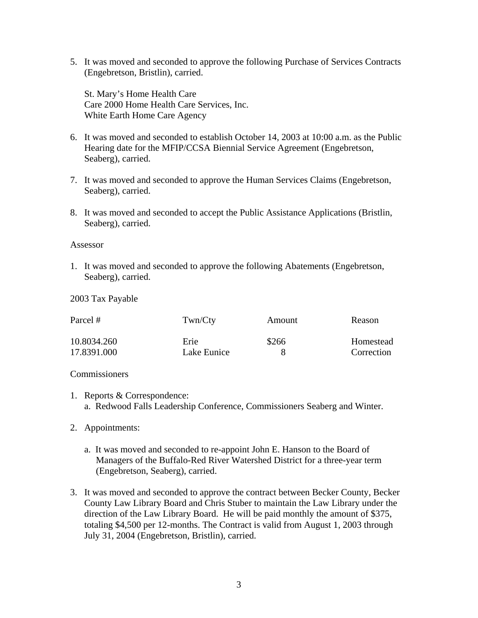5. It was moved and seconded to approve the following Purchase of Services Contracts (Engebretson, Bristlin), carried.

St. Mary's Home Health Care Care 2000 Home Health Care Services, Inc. White Earth Home Care Agency

- 6. It was moved and seconded to establish October 14, 2003 at 10:00 a.m. as the Public Hearing date for the MFIP/CCSA Biennial Service Agreement (Engebretson, Seaberg), carried.
- 7. It was moved and seconded to approve the Human Services Claims (Engebretson, Seaberg), carried.
- 8. It was moved and seconded to accept the Public Assistance Applications (Bristlin, Seaberg), carried.

#### Assessor

1. It was moved and seconded to approve the following Abatements (Engebretson, Seaberg), carried.

2003 Tax Payable

| Parcel #    | Twn/Cty<br>Erie | Amount<br>\$266 | Reason<br>Homestead |
|-------------|-----------------|-----------------|---------------------|
| 10.8034.260 |                 |                 |                     |
| 17.8391.000 | Lake Eunice     |                 | Correction          |

## **Commissioners**

- 1. Reports & Correspondence: a. Redwood Falls Leadership Conference, Commissioners Seaberg and Winter.
- 2. Appointments:
	- a. It was moved and seconded to re-appoint John E. Hanson to the Board of Managers of the Buffalo-Red River Watershed District for a three-year term (Engebretson, Seaberg), carried.
- 3. It was moved and seconded to approve the contract between Becker County, Becker County Law Library Board and Chris Stuber to maintain the Law Library under the direction of the Law Library Board. He will be paid monthly the amount of \$375, totaling \$4,500 per 12-months. The Contract is valid from August 1, 2003 through July 31, 2004 (Engebretson, Bristlin), carried.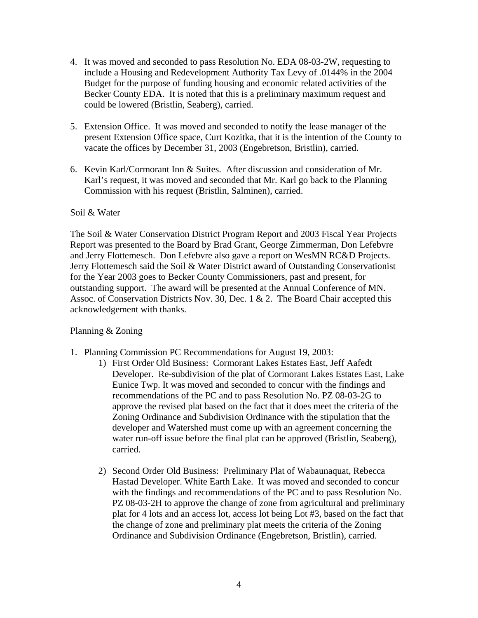- 4. It was moved and seconded to pass Resolution No. EDA 08-03-2W, requesting to include a Housing and Redevelopment Authority Tax Levy of .0144% in the 2004 Budget for the purpose of funding housing and economic related activities of the Becker County EDA. It is noted that this is a preliminary maximum request and could be lowered (Bristlin, Seaberg), carried.
- 5. Extension Office. It was moved and seconded to notify the lease manager of the present Extension Office space, Curt Kozitka, that it is the intention of the County to vacate the offices by December 31, 2003 (Engebretson, Bristlin), carried.
- 6. Kevin Karl/Cormorant Inn & Suites. After discussion and consideration of Mr. Karl's request, it was moved and seconded that Mr. Karl go back to the Planning Commission with his request (Bristlin, Salminen), carried.

## Soil & Water

The Soil & Water Conservation District Program Report and 2003 Fiscal Year Projects Report was presented to the Board by Brad Grant, George Zimmerman, Don Lefebvre and Jerry Flottemesch. Don Lefebvre also gave a report on WesMN RC&D Projects. Jerry Flottemesch said the Soil & Water District award of Outstanding Conservationist for the Year 2003 goes to Becker County Commissioners, past and present, for outstanding support. The award will be presented at the Annual Conference of MN. Assoc. of Conservation Districts Nov. 30, Dec. 1 & 2. The Board Chair accepted this acknowledgement with thanks.

# Planning & Zoning

- 1. Planning Commission PC Recommendations for August 19, 2003:
	- 1) First Order Old Business: Cormorant Lakes Estates East, Jeff Aafedt Developer. Re-subdivision of the plat of Cormorant Lakes Estates East, Lake Eunice Twp. It was moved and seconded to concur with the findings and recommendations of the PC and to pass Resolution No. PZ 08-03-2G to approve the revised plat based on the fact that it does meet the criteria of the Zoning Ordinance and Subdivision Ordinance with the stipulation that the developer and Watershed must come up with an agreement concerning the water run-off issue before the final plat can be approved (Bristlin, Seaberg), carried.
	- 2) Second Order Old Business: Preliminary Plat of Wabaunaquat, Rebecca Hastad Developer. White Earth Lake. It was moved and seconded to concur with the findings and recommendations of the PC and to pass Resolution No. PZ 08-03-2H to approve the change of zone from agricultural and preliminary plat for 4 lots and an access lot, access lot being Lot #3, based on the fact that the change of zone and preliminary plat meets the criteria of the Zoning Ordinance and Subdivision Ordinance (Engebretson, Bristlin), carried.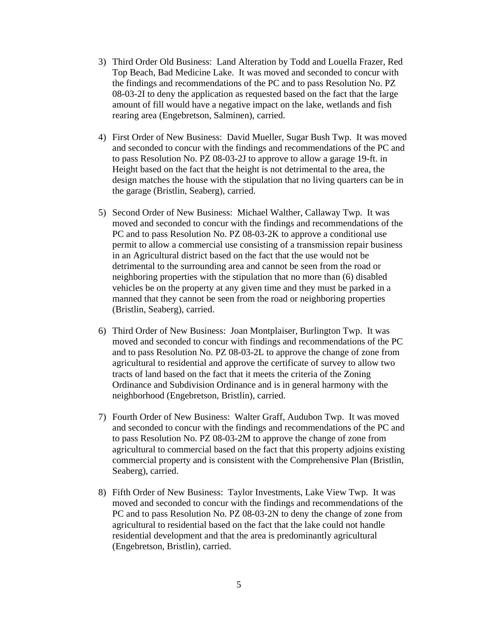- 3) Third Order Old Business: Land Alteration by Todd and Louella Frazer, Red Top Beach, Bad Medicine Lake. It was moved and seconded to concur with the findings and recommendations of the PC and to pass Resolution No. PZ 08-03-2I to deny the application as requested based on the fact that the large amount of fill would have a negative impact on the lake, wetlands and fish rearing area (Engebretson, Salminen), carried.
- 4) First Order of New Business: David Mueller, Sugar Bush Twp. It was moved and seconded to concur with the findings and recommendations of the PC and to pass Resolution No. PZ 08-03-2J to approve to allow a garage 19-ft. in Height based on the fact that the height is not detrimental to the area, the design matches the house with the stipulation that no living quarters can be in the garage (Bristlin, Seaberg), carried.
- 5) Second Order of New Business: Michael Walther, Callaway Twp. It was moved and seconded to concur with the findings and recommendations of the PC and to pass Resolution No. PZ 08-03-2K to approve a conditional use permit to allow a commercial use consisting of a transmission repair business in an Agricultural district based on the fact that the use would not be detrimental to the surrounding area and cannot be seen from the road or neighboring properties with the stipulation that no more than (6) disabled vehicles be on the property at any given time and they must be parked in a manned that they cannot be seen from the road or neighboring properties (Bristlin, Seaberg), carried.
- 6) Third Order of New Business: Joan Montplaiser, Burlington Twp. It was moved and seconded to concur with findings and recommendations of the PC and to pass Resolution No. PZ 08-03-2L to approve the change of zone from agricultural to residential and approve the certificate of survey to allow two tracts of land based on the fact that it meets the criteria of the Zoning Ordinance and Subdivision Ordinance and is in general harmony with the neighborhood (Engebretson, Bristlin), carried.
- 7) Fourth Order of New Business: Walter Graff, Audubon Twp. It was moved and seconded to concur with the findings and recommendations of the PC and to pass Resolution No. PZ 08-03-2M to approve the change of zone from agricultural to commercial based on the fact that this property adjoins existing commercial property and is consistent with the Comprehensive Plan (Bristlin, Seaberg), carried.
- 8) Fifth Order of New Business: Taylor Investments, Lake View Twp. It was moved and seconded to concur with the findings and recommendations of the PC and to pass Resolution No. PZ 08-03-2N to deny the change of zone from agricultural to residential based on the fact that the lake could not handle residential development and that the area is predominantly agricultural (Engebretson, Bristlin), carried.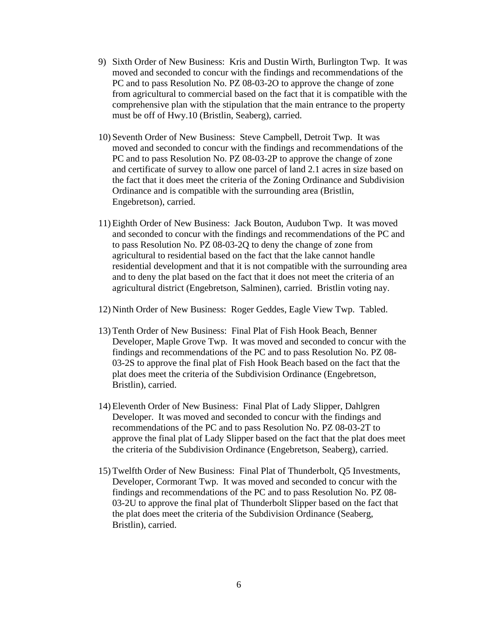- 9) Sixth Order of New Business: Kris and Dustin Wirth, Burlington Twp. It was moved and seconded to concur with the findings and recommendations of the PC and to pass Resolution No. PZ 08-03-2O to approve the change of zone from agricultural to commercial based on the fact that it is compatible with the comprehensive plan with the stipulation that the main entrance to the property must be off of Hwy.10 (Bristlin, Seaberg), carried.
- 10) Seventh Order of New Business: Steve Campbell, Detroit Twp. It was moved and seconded to concur with the findings and recommendations of the PC and to pass Resolution No. PZ 08-03-2P to approve the change of zone and certificate of survey to allow one parcel of land 2.1 acres in size based on the fact that it does meet the criteria of the Zoning Ordinance and Subdivision Ordinance and is compatible with the surrounding area (Bristlin, Engebretson), carried.
- 11) Eighth Order of New Business: Jack Bouton, Audubon Twp. It was moved and seconded to concur with the findings and recommendations of the PC and to pass Resolution No. PZ 08-03-2Q to deny the change of zone from agricultural to residential based on the fact that the lake cannot handle residential development and that it is not compatible with the surrounding area and to deny the plat based on the fact that it does not meet the criteria of an agricultural district (Engebretson, Salminen), carried. Bristlin voting nay.
- 12) Ninth Order of New Business: Roger Geddes, Eagle View Twp. Tabled.
- 13) Tenth Order of New Business: Final Plat of Fish Hook Beach, Benner Developer, Maple Grove Twp. It was moved and seconded to concur with the findings and recommendations of the PC and to pass Resolution No. PZ 08- 03-2S to approve the final plat of Fish Hook Beach based on the fact that the plat does meet the criteria of the Subdivision Ordinance (Engebretson, Bristlin), carried.
- 14) Eleventh Order of New Business: Final Plat of Lady Slipper, Dahlgren Developer. It was moved and seconded to concur with the findings and recommendations of the PC and to pass Resolution No. PZ 08-03-2T to approve the final plat of Lady Slipper based on the fact that the plat does meet the criteria of the Subdivision Ordinance (Engebretson, Seaberg), carried.
- 15) Twelfth Order of New Business: Final Plat of Thunderbolt, Q5 Investments, Developer, Cormorant Twp. It was moved and seconded to concur with the findings and recommendations of the PC and to pass Resolution No. PZ 08- 03-2U to approve the final plat of Thunderbolt Slipper based on the fact that the plat does meet the criteria of the Subdivision Ordinance (Seaberg, Bristlin), carried.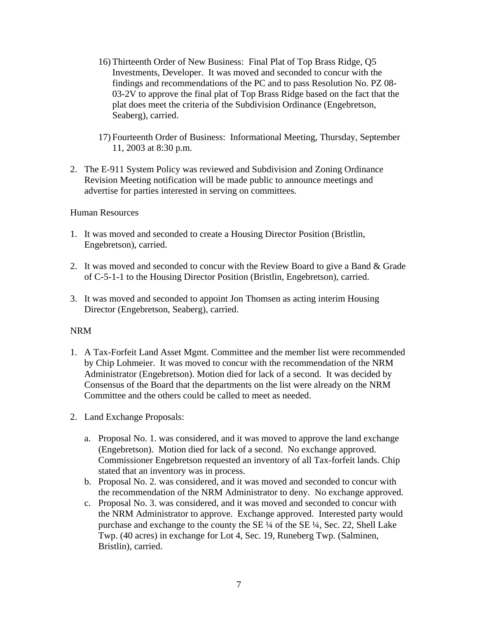- 16) Thirteenth Order of New Business: Final Plat of Top Brass Ridge, Q5 Investments, Developer. It was moved and seconded to concur with the findings and recommendations of the PC and to pass Resolution No. PZ 08- 03-2V to approve the final plat of Top Brass Ridge based on the fact that the plat does meet the criteria of the Subdivision Ordinance (Engebretson, Seaberg), carried.
- 17) Fourteenth Order of Business: Informational Meeting, Thursday, September 11, 2003 at 8:30 p.m.
- 2. The E-911 System Policy was reviewed and Subdivision and Zoning Ordinance Revision Meeting notification will be made public to announce meetings and advertise for parties interested in serving on committees.

## Human Resources

- 1. It was moved and seconded to create a Housing Director Position (Bristlin, Engebretson), carried.
- 2. It was moved and seconded to concur with the Review Board to give a Band & Grade of C-5-1-1 to the Housing Director Position (Bristlin, Engebretson), carried.
- 3. It was moved and seconded to appoint Jon Thomsen as acting interim Housing Director (Engebretson, Seaberg), carried.

# NRM

- 1. A Tax-Forfeit Land Asset Mgmt. Committee and the member list were recommended by Chip Lohmeier. It was moved to concur with the recommendation of the NRM Administrator (Engebretson). Motion died for lack of a second. It was decided by Consensus of the Board that the departments on the list were already on the NRM Committee and the others could be called to meet as needed.
- 2. Land Exchange Proposals:
	- a. Proposal No. 1. was considered, and it was moved to approve the land exchange (Engebretson). Motion died for lack of a second. No exchange approved. Commissioner Engebretson requested an inventory of all Tax-forfeit lands. Chip stated that an inventory was in process.
	- b. Proposal No. 2. was considered, and it was moved and seconded to concur with the recommendation of the NRM Administrator to deny. No exchange approved.
	- c. Proposal No. 3. was considered, and it was moved and seconded to concur with the NRM Administrator to approve. Exchange approved. Interested party would purchase and exchange to the county the SE ¼ of the SE ¼, Sec. 22, Shell Lake Twp. (40 acres) in exchange for Lot 4, Sec. 19, Runeberg Twp. (Salminen, Bristlin), carried.